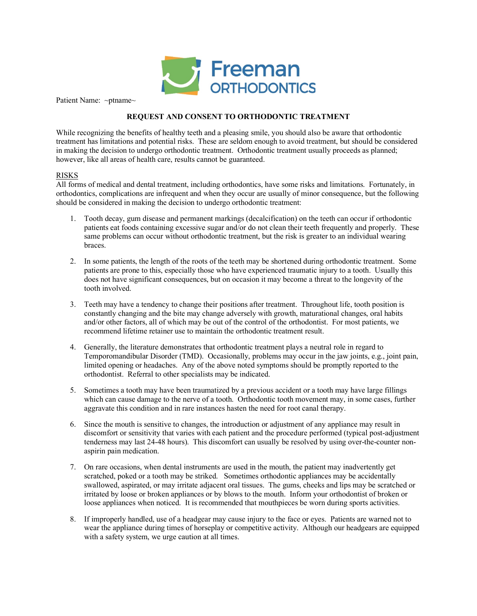

Patient Name: ~ptname~

# **REQUEST AND CONSENT TO ORTHODONTIC TREATMENT**

While recognizing the benefits of healthy teeth and a pleasing smile, you should also be aware that orthodontic treatment has limitations and potential risks. These are seldom enough to avoid treatment, but should be considered in making the decision to undergo orthodontic treatment. Orthodontic treatment usually proceeds as planned; however, like all areas of health care, results cannot be guaranteed.

# RISKS

All forms of medical and dental treatment, including orthodontics, have some risks and limitations. Fortunately, in orthodontics, complications are infrequent and when they occur are usually of minor consequence, but the following should be considered in making the decision to undergo orthodontic treatment:

- 1. Tooth decay, gum disease and permanent markings (decalcification) on the teeth can occur if orthodontic patients eat foods containing excessive sugar and/or do not clean their teeth frequently and properly. These same problems can occur without orthodontic treatment, but the risk is greater to an individual wearing braces.
- 2. In some patients, the length of the roots of the teeth may be shortened during orthodontic treatment. Some patients are prone to this, especially those who have experienced traumatic injury to a tooth. Usually this does not have significant consequences, but on occasion it may become a threat to the longevity of the tooth involved.
- 3. Teeth may have a tendency to change their positions after treatment. Throughout life, tooth position is constantly changing and the bite may change adversely with growth, maturational changes, oral habits and/or other factors, all of which may be out of the control of the orthodontist. For most patients, we recommend lifetime retainer use to maintain the orthodontic treatment result.
- 4. Generally, the literature demonstrates that orthodontic treatment plays a neutral role in regard to Temporomandibular Disorder (TMD). Occasionally, problems may occur in the jaw joints, e.g., joint pain, limited opening or headaches. Any of the above noted symptoms should be promptly reported to the orthodontist. Referral to other specialists may be indicated.
- 5. Sometimes a tooth may have been traumatized by a previous accident or a tooth may have large fillings which can cause damage to the nerve of a tooth. Orthodontic tooth movement may, in some cases, further aggravate this condition and in rare instances hasten the need for root canal therapy.
- 6. Since the mouth is sensitive to changes, the introduction or adjustment of any appliance may result in discomfort or sensitivity that varies with each patient and the procedure performed (typical post-adjustment tenderness may last 24-48 hours). This discomfort can usually be resolved by using over-the-counter nonaspirin pain medication.
- 7. On rare occasions, when dental instruments are used in the mouth, the patient may inadvertently get scratched, poked or a tooth may be striked. Sometimes orthodontic appliances may be accidentally swallowed, aspirated, or may irritate adjacent oral tissues. The gums, cheeks and lips may be scratched or irritated by loose or broken appliances or by blows to the mouth. Inform your orthodontist of broken or loose appliances when noticed. It is recommended that mouthpieces be worn during sports activities.
- 8. If improperly handled, use of a headgear may cause injury to the face or eyes. Patients are warned not to wear the appliance during times of horseplay or competitive activity. Although our headgears are equipped with a safety system, we urge caution at all times.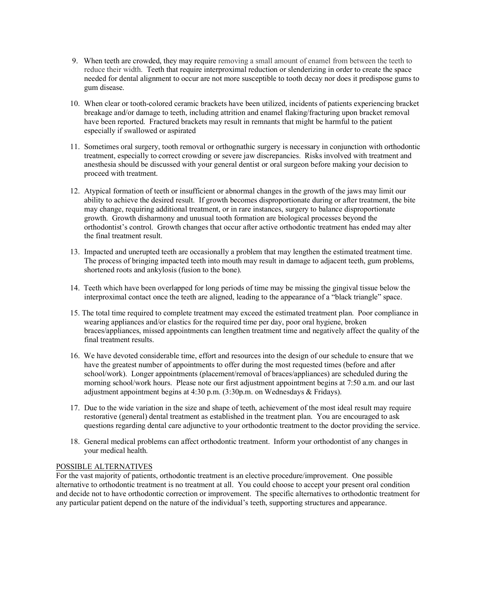- 9. When teeth are crowded, they may require removing a small amount of enamel from between the teeth to reduce their width. Teeth that require interproximal reduction or slenderizing in order to create the space needed for dental alignment to occur are not more susceptible to tooth decay nor does it predispose gums to gum disease.
- 10. When clear or tooth-colored ceramic brackets have been utilized, incidents of patients experiencing bracket breakage and/or damage to teeth, including attrition and enamel flaking/fracturing upon bracket removal have been reported. Fractured brackets may result in remnants that might be harmful to the patient especially if swallowed or aspirated
- 11. Sometimes oral surgery, tooth removal or orthognathic surgery is necessary in conjunction with orthodontic treatment, especially to correct crowding or severe jaw discrepancies. Risks involved with treatment and anesthesia should be discussed with your general dentist or oral surgeon before making your decision to proceed with treatment.
- 12. Atypical formation of teeth or insufficient or abnormal changes in the growth of the jaws may limit our ability to achieve the desired result. If growth becomes disproportionate during or after treatment, the bite may change, requiring additional treatment, or in rare instances, surgery to balance disproportionate growth. Growth disharmony and unusual tooth formation are biological processes beyond the orthodontist's control. Growth changes that occur after active orthodontic treatment has ended may alter the final treatment result.
- 13. Impacted and unerupted teeth are occasionally a problem that may lengthen the estimated treatment time. The process of bringing impacted teeth into mouth may result in damage to adjacent teeth, gum problems, shortened roots and ankylosis (fusion to the bone).
- 14. Teeth which have been overlapped for long periods of time may be missing the gingival tissue below the interproximal contact once the teeth are aligned, leading to the appearance of a "black triangle" space.
- 15. The total time required to complete treatment may exceed the estimated treatment plan. Poor compliance in wearing appliances and/or elastics for the required time per day, poor oral hygiene, broken braces/appliances, missed appointments can lengthen treatment time and negatively affect the quality of the final treatment results.
- 16. We have devoted considerable time, effort and resources into the design of our schedule to ensure that we have the greatest number of appointments to offer during the most requested times (before and after school/work). Longer appointments (placement/removal of braces/appliances) are scheduled during the morning school/work hours. Please note our first adjustment appointment begins at 7:50 a.m. and our last adjustment appointment begins at 4:30 p.m. (3:30p.m. on Wednesdays & Fridays).
- 17. Due to the wide variation in the size and shape of teeth, achievement of the most ideal result may require restorative (general) dental treatment as established in the treatment plan. You are encouraged to ask questions regarding dental care adjunctive to your orthodontic treatment to the doctor providing the service.
- 18. General medical problems can affect orthodontic treatment. Inform your orthodontist of any changes in your medical health.

# POSSIBLE ALTERNATIVES

For the vast majority of patients, orthodontic treatment is an elective procedure/improvement. One possible alternative to orthodontic treatment is no treatment at all. You could choose to accept your present oral condition and decide not to have orthodontic correction or improvement. The specific alternatives to orthodontic treatment for any particular patient depend on the nature of the individual's teeth, supporting structures and appearance.